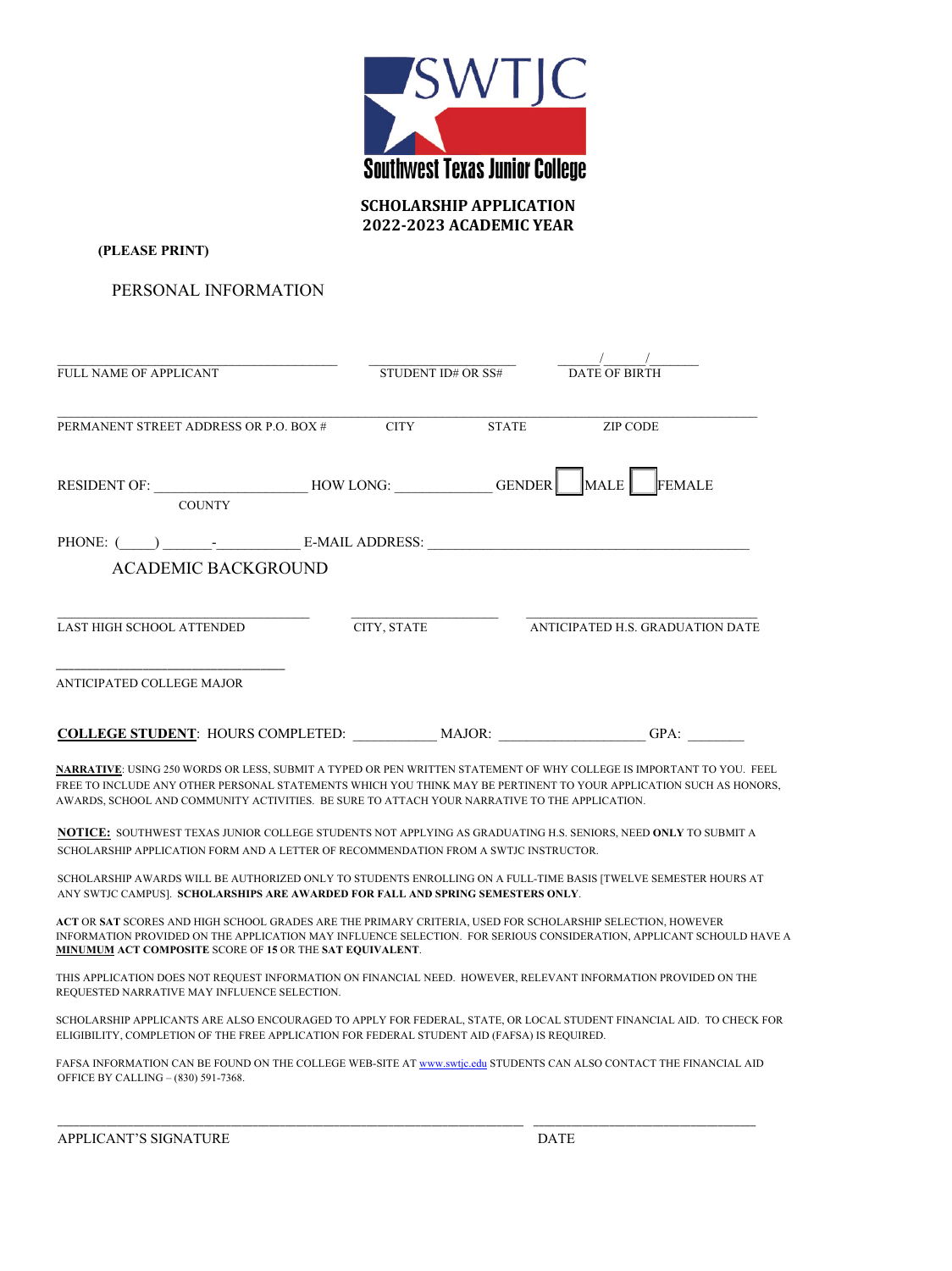

**SCHOLARSHIP APPLICATION 2022-2023 ACADEMIC YEAR**

**(PLEASE PRINT)** 

PERSONAL INFORMATION

| FULL NAME OF APPLICANT                                                                                                                                                                                                                                                                                                                      | STUDENT ID# OR SS# |              | <b>DATE OF BIRTH</b>             |  |
|---------------------------------------------------------------------------------------------------------------------------------------------------------------------------------------------------------------------------------------------------------------------------------------------------------------------------------------------|--------------------|--------------|----------------------------------|--|
| PERMANENT STREET ADDRESS OR P.O. BOX #                                                                                                                                                                                                                                                                                                      | <b>CITY</b>        | <b>STATE</b> | <b>ZIP CODE</b>                  |  |
| RESIDENT OF: __________________________HOW LONG: _______________GENDER<br><b>COUNTY</b>                                                                                                                                                                                                                                                     |                    |              | MALE<br>FEMALE                   |  |
| <b>ACADEMIC BACKGROUND</b>                                                                                                                                                                                                                                                                                                                  |                    |              |                                  |  |
| LAST HIGH SCHOOL ATTENDED                                                                                                                                                                                                                                                                                                                   | CITY, STATE        |              | ANTICIPATED H.S. GRADUATION DATE |  |
| ANTICIPATED COLLEGE MAJOR                                                                                                                                                                                                                                                                                                                   |                    |              |                                  |  |
|                                                                                                                                                                                                                                                                                                                                             |                    |              | GPA:                             |  |
| NARRATIVE: USING 250 WORDS OR LESS, SUBMIT A TYPED OR PEN WRITTEN STATEMENT OF WHY COLLEGE IS IMPORTANT TO YOU. FEEL<br>FREE TO INCLUDE ANY OTHER PERSONAL STATEMENTS WHICH YOU THINK MAY BE PERTINENT TO YOUR APPLICATION SUCH AS HONORS,<br>AWARDS, SCHOOL AND COMMUNITY ACTIVITIES. BE SURE TO ATTACH YOUR NARRATIVE TO THE APPLICATION. |                    |              |                                  |  |
| NOTICE: SOUTHWEST TEXAS JUNIOR COLLEGE STUDENTS NOT APPLYING AS GRADUATING H.S. SENIORS, NEED ONLY TO SUBMIT A<br>SCHOLARSHIP APPLICATION FORM AND A LETTER OF RECOMMENDATION FROM A SWTJC INSTRUCTOR.                                                                                                                                      |                    |              |                                  |  |
| SCHOLARSHIP AWARDS WILL BE AUTHORIZED ONLY TO STUDENTS ENROLLING ON A FULL-TIME BASIS [TWELVE SEMESTER HOURS AT<br>ANY SWTJC CAMPUS]. SCHOLARSHIPS ARE AWARDED FOR FALL AND SPRING SEMESTERS ONLY.                                                                                                                                          |                    |              |                                  |  |
| ACT OR SAT SCORES AND HIGH SCHOOL GRADES ARE THE PRIMARY CRITERIA, USED FOR SCHOLARSHIP SELECTION, HOWEVER<br>INFORMATION PROVIDED ON THE APPLICATION MAY INFLUENCE SELECTION. FOR SERIOUS CONSIDERATION, APPLICANT SCHOULD HAVE A<br><b>MINUMUM ACT COMPOSITE SCORE OF 15 OR THE SAT EQUIVALENT.</b>                                       |                    |              |                                  |  |
| THIS APPLICATION DOES NOT REQUEST INFORMATION ON FINANCIAL NEED. HOWEVER, RELEVANT INFORMATION PROVIDED ON THE<br>REQUESTED NARRATIVE MAY INFLUENCE SELECTION.                                                                                                                                                                              |                    |              |                                  |  |

SCHOLARSHIP APPLICANTS ARE ALSO ENCOURAGED TO APPLY FOR FEDERAL, STATE, OR LOCAL STUDENT FINANCIAL AID. TO CHECK FOR ELIGIBILITY, COMPLETION OF THE FREE APPLICATION FOR FEDERAL STUDENT AID (FAFSA) IS REQUIRED.

FAFSA INFORMATION CAN BE FOUND ON THE COLLEGE WEB-SITE AT www.swtjc.edu STUDENTS CAN ALSO CONTACT THE FINANCIAL AID OFFICE BY CALLING – (830) 591-7368.

\_\_\_\_\_\_\_\_\_\_\_\_\_\_\_\_\_\_\_\_\_\_\_\_\_\_\_\_\_\_\_\_\_\_\_\_\_\_\_\_\_\_\_\_\_\_\_\_\_\_\_\_\_\_\_\_\_\_\_\_\_\_\_\_\_\_\_\_\_\_\_\_\_\_\_\_\_\_\_\_\_\_\_\_\_\_ \_\_\_\_\_\_\_\_\_\_\_\_\_\_\_\_\_\_\_\_\_\_\_\_\_\_\_\_\_\_\_\_\_\_\_\_\_\_\_\_\_

APPLICANT'S SIGNATURE **DATE**